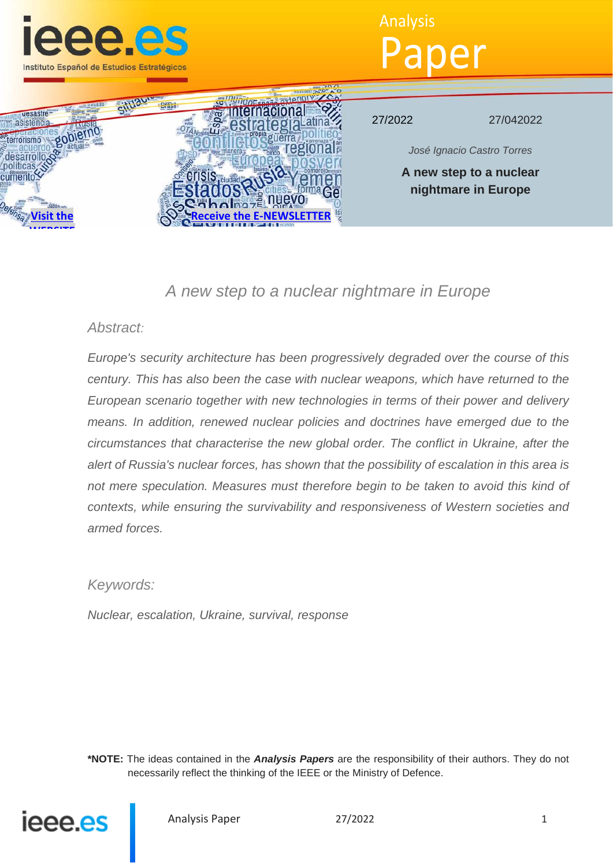

# Analysis Paper



27/2022 27/042022

*José Ignacio Castro Torres*

**A new step to a nuclear nightmare in Europe**

## *A new step to a nuclear nightmare in Europe*

### *Abstract:*

*Europe's security architecture has been progressively degraded over the course of this century. This has also been the case with nuclear weapons, which have returned to the European scenario together with new technologies in terms of their power and delivery means. In addition, renewed nuclear policies and doctrines have emerged due to the circumstances that characterise the new global order. The conflict in Ukraine, after the alert of Russia's nuclear forces, has shown that the possibility of escalation in this area is*  not mere speculation. Measures must therefore begin to be taken to avoid this kind of *contexts, while ensuring the survivability and responsiveness of Western societies and armed forces.*

### *Keywords:*

*Nuclear, escalation, Ukraine, survival, response*

**\*NOTE:** The ideas contained in the *Analysis Papers* are the responsibility of their authors. They do not necessarily reflect the thinking of the IEEE or the Ministry of Defence.

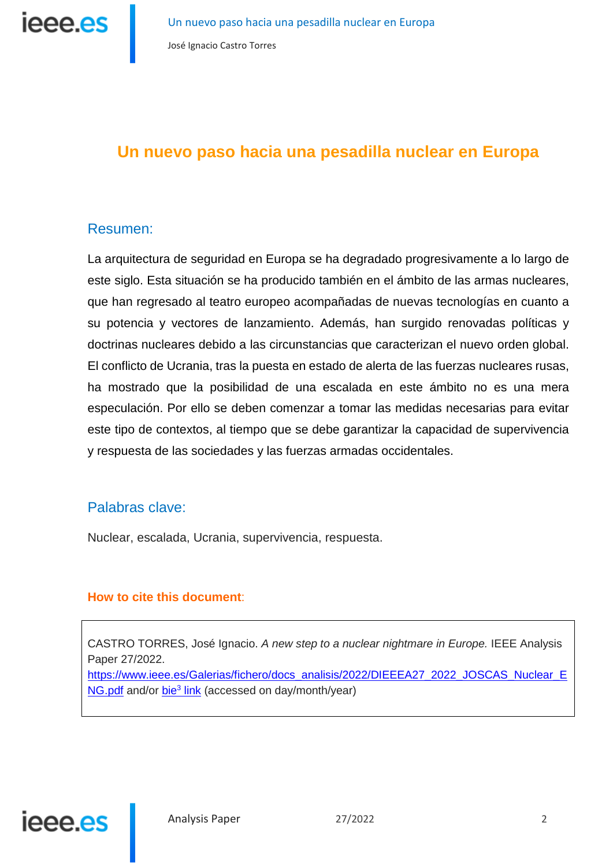

### **Un nuevo paso hacia una pesadilla nuclear en Europa**

### Resumen:

La arquitectura de seguridad en Europa se ha degradado progresivamente a lo largo de este siglo. Esta situación se ha producido también en el ámbito de las armas nucleares, que han regresado al teatro europeo acompañadas de nuevas tecnologías en cuanto a su potencia y vectores de lanzamiento. Además, han surgido renovadas políticas y doctrinas nucleares debido a las circunstancias que caracterizan el nuevo orden global. El conflicto de Ucrania, tras la puesta en estado de alerta de las fuerzas nucleares rusas, ha mostrado que la posibilidad de una escalada en este ámbito no es una mera especulación. Por ello se deben comenzar a tomar las medidas necesarias para evitar este tipo de contextos, al tiempo que se debe garantizar la capacidad de supervivencia y respuesta de las sociedades y las fuerzas armadas occidentales.

### Palabras clave:

Nuclear, escalada, Ucrania, supervivencia, respuesta.

### **How to cite this document**:

CASTRO TORRES, José Ignacio. *A new step to a nuclear nightmare in Europe.* IEEE Analysis Paper 27/2022.

https://www.ieee.es/Galerias/fichero/docs\_analisis/2022/DIEEEA27\_2022\_JOSCAS\_Nuclear\_E NG.pdf and/or bie<sup>3</sup> link (accessed on day/month/year)

# ieee.es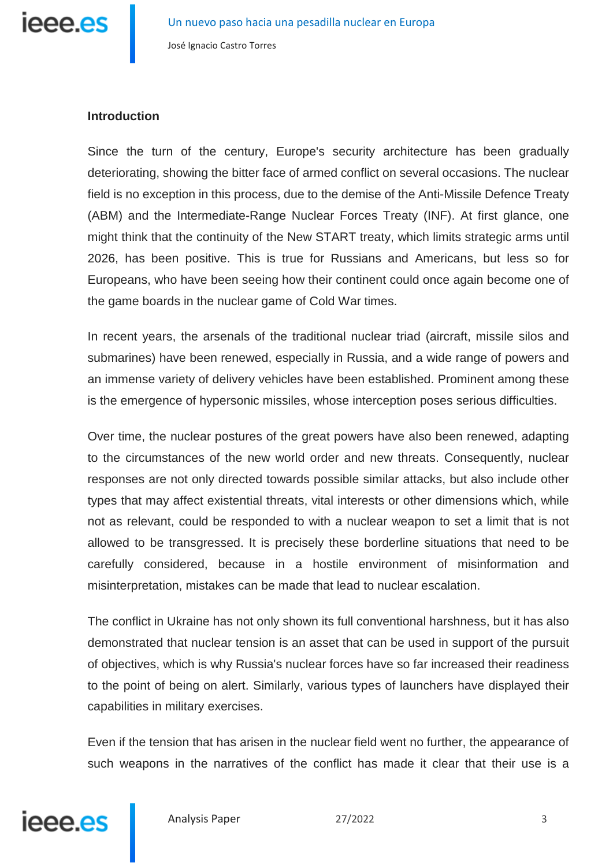

### **Introduction**

Since the turn of the century, Europe's security architecture has been gradually deteriorating, showing the bitter face of armed conflict on several occasions. The nuclear field is no exception in this process, due to the demise of the Anti-Missile Defence Treaty (ABM) and the Intermediate-Range Nuclear Forces Treaty (INF). At first glance, one might think that the continuity of the New START treaty, which limits strategic arms until 2026, has been positive. This is true for Russians and Americans, but less so for Europeans, who have been seeing how their continent could once again become one of the game boards in the nuclear game of Cold War times.

In recent years, the arsenals of the traditional nuclear triad (aircraft, missile silos and submarines) have been renewed, especially in Russia, and a wide range of powers and an immense variety of delivery vehicles have been established. Prominent among these is the emergence of hypersonic missiles, whose interception poses serious difficulties.

Over time, the nuclear postures of the great powers have also been renewed, adapting to the circumstances of the new world order and new threats. Consequently, nuclear responses are not only directed towards possible similar attacks, but also include other types that may affect existential threats, vital interests or other dimensions which, while not as relevant, could be responded to with a nuclear weapon to set a limit that is not allowed to be transgressed. It is precisely these borderline situations that need to be carefully considered, because in a hostile environment of misinformation and misinterpretation, mistakes can be made that lead to nuclear escalation.

The conflict in Ukraine has not only shown its full conventional harshness, but it has also demonstrated that nuclear tension is an asset that can be used in support of the pursuit of objectives, which is why Russia's nuclear forces have so far increased their readiness to the point of being on alert. Similarly, various types of launchers have displayed their capabilities in military exercises.

Even if the tension that has arisen in the nuclear field went no further, the appearance of such weapons in the narratives of the conflict has made it clear that their use is a

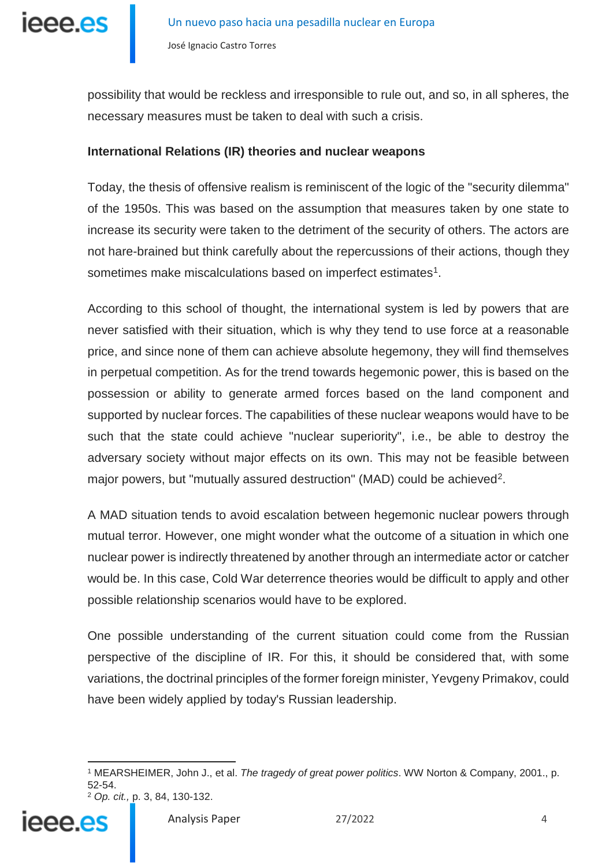

possibility that would be reckless and irresponsible to rule out, and so, in all spheres, the necessary measures must be taken to deal with such a crisis.

### **International Relations (IR) theories and nuclear weapons**

Today, the thesis of offensive realism is reminiscent of the logic of the "security dilemma" of the 1950s. This was based on the assumption that measures taken by one state to increase its security were taken to the detriment of the security of others. The actors are not hare-brained but think carefully about the repercussions of their actions, though they sometimes make miscalculations based on imperfect estimates<sup>1</sup>.

According to this school of thought, the international system is led by powers that are never satisfied with their situation, which is why they tend to use force at a reasonable price, and since none of them can achieve absolute hegemony, they will find themselves in perpetual competition. As for the trend towards hegemonic power, this is based on the possession or ability to generate armed forces based on the land component and supported by nuclear forces. The capabilities of these nuclear weapons would have to be such that the state could achieve "nuclear superiority", i.e., be able to destroy the adversary society without major effects on its own. This may not be feasible between major powers, but "mutually assured destruction" (MAD) could be achieved<sup>[2](#page-3-1)</sup>.

A MAD situation tends to avoid escalation between hegemonic nuclear powers through mutual terror. However, one might wonder what the outcome of a situation in which one nuclear power is indirectly threatened by another through an intermediate actor or catcher would be. In this case, Cold War deterrence theories would be difficult to apply and other possible relationship scenarios would have to be explored.

One possible understanding of the current situation could come from the Russian perspective of the discipline of IR. For this, it should be considered that, with some variations, the doctrinal principles of the former foreign minister, Yevgeny Primakov, could have been widely applied by today's Russian leadership.

<sup>-</sup><sup>1</sup> MEARSHEIMER, John J., et al. *The tragedy of great power politics*. WW Norton & Company, 2001., p. 52-54. <sup>2</sup> *Op. cit.,* p. 3, 84, 130-132.



<span id="page-3-1"></span><span id="page-3-0"></span>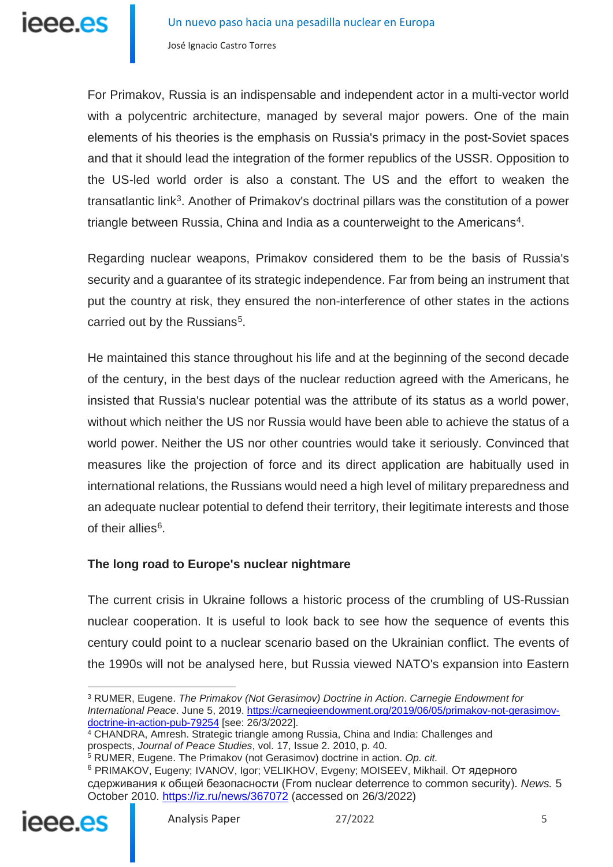For Primakov, Russia is an indispensable and independent actor in a multi-vector world with a polycentric architecture, managed by several major powers. One of the main elements of his theories is the emphasis on Russia's primacy in the post-Soviet spaces and that it should lead the integration of the former republics of the USSR. Opposition to the US-led world order is also a constant. The US and the effort to weaken the transatlantic link[3](#page-4-0). Another of Primakov's doctrinal pillars was the constitution of a power triangle between Russia, China and India as a counterweight to the Americans<sup>[4](#page-4-1)</sup>.

Regarding nuclear weapons, Primakov considered them to be the basis of Russia's security and a guarantee of its strategic independence. Far from being an instrument that put the country at risk, they ensured the non-interference of other states in the actions carried out by the Russians<sup>[5](#page-4-2)</sup>.

He maintained this stance throughout his life and at the beginning of the second decade of the century, in the best days of the nuclear reduction agreed with the Americans, he insisted that Russia's nuclear potential was the attribute of its status as a world power, without which neither the US nor Russia would have been able to achieve the status of a world power. Neither the US nor other countries would take it seriously. Convinced that measures like the projection of force and its direct application are habitually used in international relations, the Russians would need a high level of military preparedness and an adequate nuclear potential to defend their territory, their legitimate interests and those of their allies<sup>[6](#page-4-3)</sup>.

### **The long road to Europe's nuclear nightmare**

The current crisis in Ukraine follows a historic process of the crumbling of US-Russian nuclear cooperation. It is useful to look back to see how the sequence of events this century could point to a nuclear scenario based on the Ukrainian conflict. The events of the 1990s will not be analysed here, but Russia viewed NATO's expansion into Eastern

<sup>5</sup> RUMER, Eugene. The Primakov (not Gerasimov) doctrine in action. *Op. cit.*

<sup>6</sup> PRIMAKOV, Eugeny; IVANOV, Igor; VELIKHOV, Evgeny; MOISEEV, Mikhail. От ядерного сдерживания к общей безопасности (From nuclear deterrence to common security). *News.* 5 October 2010.<https://iz.ru/news/367072> (accessed on 26/3/2022)

<span id="page-4-3"></span><span id="page-4-2"></span><span id="page-4-1"></span>

-

<span id="page-4-0"></span><sup>3</sup> RUMER, Eugene. *The Primakov (Not Gerasimov) Doctrine in Action*. *Carnegie Endowment for International Peace*. June 5, 2019. [https://carnegieendowment.org/2019/06/05/primakov-not-gerasimov](https://carnegieendowment.org/2019/06/05/primakov-not-gerasimov-doctrine-in-action-pub-79254)[doctrine-in-action-pub-79254](https://carnegieendowment.org/2019/06/05/primakov-not-gerasimov-doctrine-in-action-pub-79254) [see: 26/3/2022].

<sup>4</sup> CHANDRA, Amresh. Strategic triangle among Russia, China and India: Challenges and prospects, *Journal of Peace Studies*, vol. 17, Issue 2. 2010, p. 40.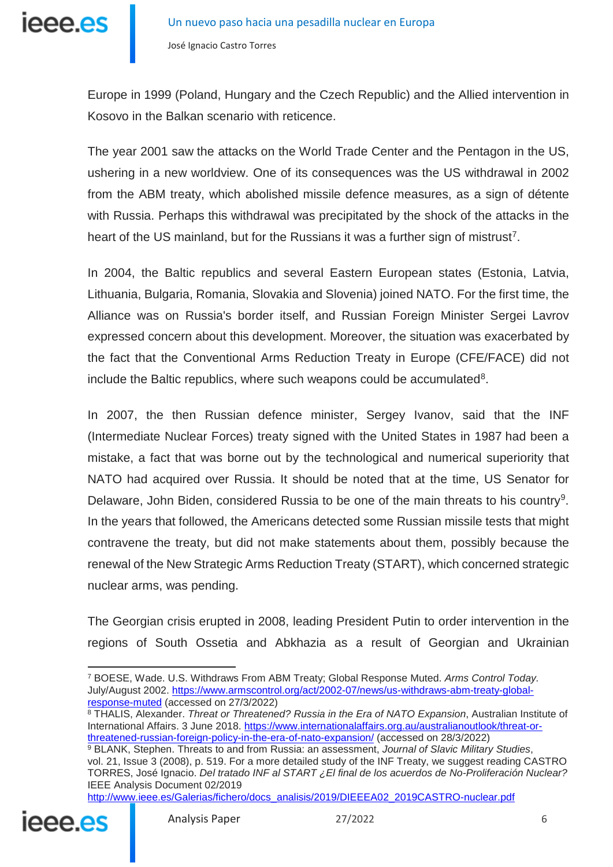

Europe in 1999 (Poland, Hungary and the Czech Republic) and the Allied intervention in Kosovo in the Balkan scenario with reticence.

The year 2001 saw the attacks on the World Trade Center and the Pentagon in the US, ushering in a new worldview. One of its consequences was the US withdrawal in 2002 from the ABM treaty, which abolished missile defence measures, as a sign of détente with Russia. Perhaps this withdrawal was precipitated by the shock of the attacks in the heart of the US mainland, but for the Russians it was a further sign of mistrust<sup>[7](#page-5-0)</sup>.

In 2004, the Baltic republics and several Eastern European states (Estonia, Latvia, Lithuania, Bulgaria, Romania, Slovakia and Slovenia) joined NATO. For the first time, the Alliance was on Russia's border itself, and Russian Foreign Minister Sergei Lavrov expressed concern about this development. Moreover, the situation was exacerbated by the fact that the Conventional Arms Reduction Treaty in Europe (CFE/FACE) did not include the Baltic republics, where such weapons could be accumulated<sup>8</sup>.

In 2007, the then Russian defence minister, Sergey Ivanov, said that the INF (Intermediate Nuclear Forces) treaty signed with the United States in 1987 had been a mistake, a fact that was borne out by the technological and numerical superiority that NATO had acquired over Russia. It should be noted that at the time, US Senator for Delaware, John Biden, considered Russia to be one of the main threats to his country<sup>[9](#page-5-2)</sup>. In the years that followed, the Americans detected some Russian missile tests that might contravene the treaty, but did not make statements about them, possibly because the renewal of the New Strategic Arms Reduction Treaty (START), which concerned strategic nuclear arms, was pending.

The Georgian crisis erupted in 2008, leading President Putin to order intervention in the regions of South Ossetia and Abkhazia as a result of Georgian and Ukrainian

<span id="page-5-1"></span><sup>8</sup> THALIS, Alexander. *Threat or Threatened? Russia in the Era of NATO Expansion*, Australian Institute of International Affairs. 3 June 2018. [https://www.internationalaffairs.org.au/australianoutlook/threat-or](https://www.internationalaffairs.org.au/australianoutlook/threat-or-threatened-russian-foreign-policy-in-the-era-of-nato-expansion/)[threatened-russian-foreign-policy-in-the-era-of-nato-expansion/](https://www.internationalaffairs.org.au/australianoutlook/threat-or-threatened-russian-foreign-policy-in-the-era-of-nato-expansion/) (accessed on 28/3/2022)

[http://www.ieee.es/Galerias/fichero/docs\\_analisis/2019/DIEEEA02\\_2019CASTRO-nuclear.pdf](https://www.ieee.es/Galerias/fichero/docs_analisis/2019/DIEEEA02_2019CASTRO-nuclear.pdf)

<span id="page-5-2"></span>

<span id="page-5-0"></span><sup>-</sup><sup>7</sup> BOESE, Wade. U.S. Withdraws From ABM Treaty; Global Response Muted. *Arms Control Today.* July/August 2002. [https://www.armscontrol.org/act/2002-07/news/us-withdraws-abm-treaty-global](https://www.armscontrol.org/act/2002-07/news/us-withdraws-abm-treaty-global-response-muted)[response-muted](https://www.armscontrol.org/act/2002-07/news/us-withdraws-abm-treaty-global-response-muted) (accessed on 27/3/2022)

<sup>9</sup> BLANK, Stephen. Threats to and from Russia: an assessment, *Journal of Slavic Military Studies*, vol. 21, Issue 3 (2008), p. 519. For a more detailed study of the INF Treaty, we suggest reading CASTRO TORRES, José Ignacio. *Del tratado INF al START ¿El final de los acuerdos de No-Proliferación Nuclear?* IEEE Analysis Document 02/2019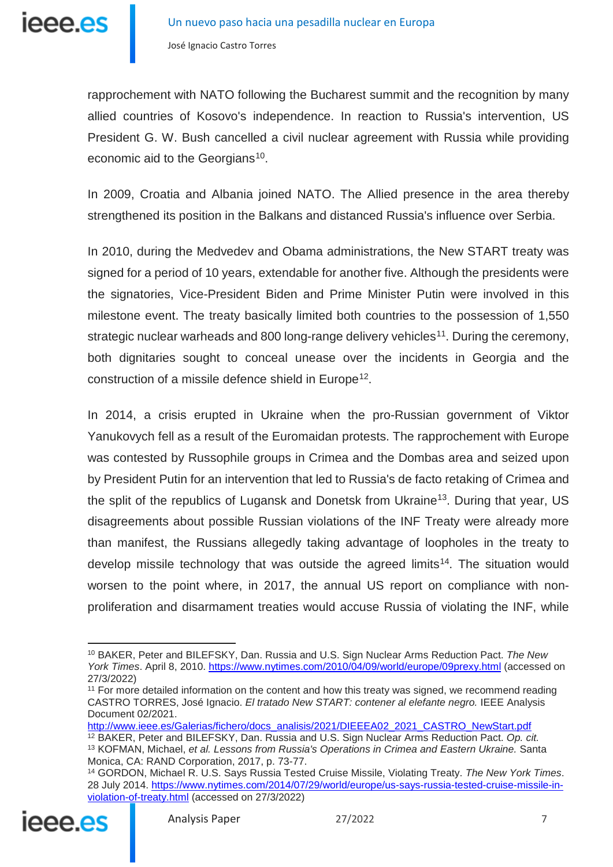

rapprochement with NATO following the Bucharest summit and the recognition by many allied countries of Kosovo's independence. In reaction to Russia's intervention, US President G. W. Bush cancelled a civil nuclear agreement with Russia while providing economic aid to the Georgians<sup>[10](#page-6-0)</sup>.

In 2009, Croatia and Albania joined NATO. The Allied presence in the area thereby strengthened its position in the Balkans and distanced Russia's influence over Serbia.

In 2010, during the Medvedev and Obama administrations, the New START treaty was signed for a period of 10 years, extendable for another five. Although the presidents were the signatories, Vice-President Biden and Prime Minister Putin were involved in this milestone event. The treaty basically limited both countries to the possession of 1,550 strategic nuclear warheads and 800 long-range delivery vehicles<sup>[11](#page-6-1)</sup>. During the ceremony, both dignitaries sought to conceal unease over the incidents in Georgia and the construction of a missile defence shield in Europe<sup>12</sup>.

In 2014, a crisis erupted in Ukraine when the pro-Russian government of Viktor Yanukovych fell as a result of the Euromaidan protests. The rapprochement with Europe was contested by Russophile groups in Crimea and the Dombas area and seized upon by President Putin for an intervention that led to Russia's de facto retaking of Crimea and the split of the republics of Lugansk and Donetsk from Ukraine<sup>[13](#page-6-3)</sup>. During that year, US disagreements about possible Russian violations of the INF Treaty were already more than manifest, the Russians allegedly taking advantage of loopholes in the treaty to develop missile technology that was outside the agreed limits<sup>[14](#page-6-4)</sup>. The situation would worsen to the point where, in 2017, the annual US report on compliance with nonproliferation and disarmament treaties would accuse Russia of violating the INF, while

[http://www.ieee.es/Galerias/fichero/docs\\_analisis/2021/DIEEEA02\\_2021\\_CASTRO\\_NewStart.pdf](http://www.ieee.es/Galerias/fichero/docs_analisis/2021/DIEEEA02_2021_CASTRO_NewStart.pdf)

<span id="page-6-4"></span><span id="page-6-3"></span><span id="page-6-2"></span><span id="page-6-1"></span><sup>14</sup> GORDON, Michael R. U.S. Says Russia Tested Cruise Missile, Violating Treaty. *The New York Times*. 28 July 2014. [https://www.nytimes.com/2014/07/29/world/europe/us-says-russia-tested-cruise-missile-in](https://www.nytimes.com/2014/07/29/world/europe/us-says-russia-tested-cruise-missile-in-violation-of-treaty.html)[violation-of-treaty.html](https://www.nytimes.com/2014/07/29/world/europe/us-says-russia-tested-cruise-missile-in-violation-of-treaty.html) (accessed on 27/3/2022)



-

<span id="page-6-0"></span><sup>10</sup> BAKER, Peter and BILEFSKY, Dan. Russia and U.S. Sign Nuclear Arms Reduction Pact. *The New York Times*. April 8, 2010.<https://www.nytimes.com/2010/04/09/world/europe/09prexy.html> (accessed on 27/3/2022)

<sup>&</sup>lt;sup>11</sup> For more detailed information on the content and how this treaty was signed, we recommend reading CASTRO TORRES, José Ignacio. *El tratado New START: contener al elefante negro.* IEEE Analysis Document 02/2021.

<sup>12</sup> BAKER, Peter and BILEFSKY, Dan. Russia and U.S. Sign Nuclear Arms Reduction Pact. *Op. cit.* <sup>13</sup> KOFMAN, Michael, *et al. Lessons from Russia's Operations in Crimea and Eastern Ukraine.* Santa Monica, CA: RAND Corporation, 2017, p. 73-77.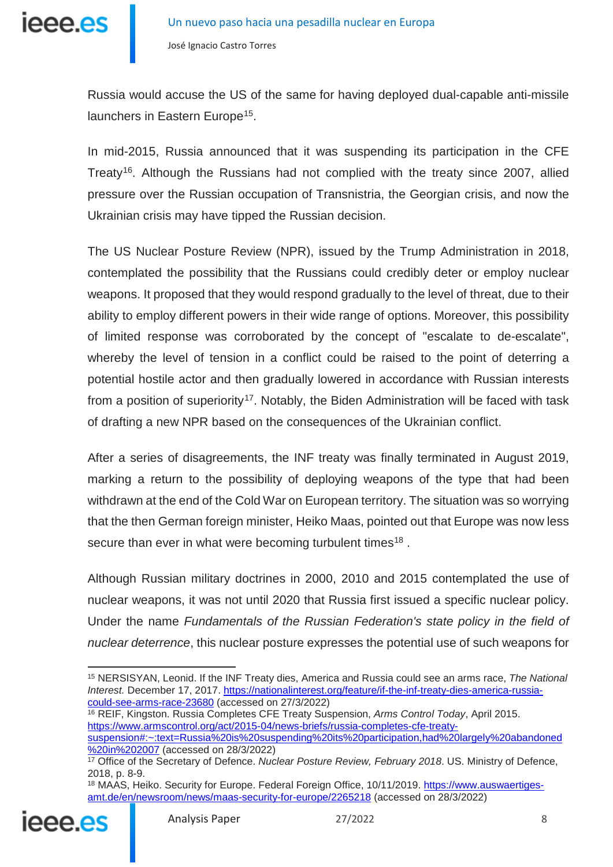

Russia would accuse the US of the same for having deployed dual-capable anti-missile launchers in Eastern Europe<sup>15</sup>.

In mid-2015, Russia announced that it was suspending its participation in the CFE Treaty<sup>16</sup>. Although the Russians had not complied with the treaty since 2007, allied pressure over the Russian occupation of Transnistria, the Georgian crisis, and now the Ukrainian crisis may have tipped the Russian decision.

The US Nuclear Posture Review (NPR), issued by the Trump Administration in 2018, contemplated the possibility that the Russians could credibly deter or employ nuclear weapons. It proposed that they would respond gradually to the level of threat, due to their ability to employ different powers in their wide range of options. Moreover, this possibility of limited response was corroborated by the concept of "escalate to de-escalate", whereby the level of tension in a conflict could be raised to the point of deterring a potential hostile actor and then gradually lowered in accordance with Russian interests from a position of superiority<sup>[17](#page-7-2)</sup>. Notably, the Biden Administration will be faced with task of drafting a new NPR based on the consequences of the Ukrainian conflict.

After a series of disagreements, the INF treaty was finally terminated in August 2019, marking a return to the possibility of deploying weapons of the type that had been withdrawn at the end of the Cold War on European territory. The situation was so worrying that the then German foreign minister, Heiko Maas, pointed out that Europe was now less secure than ever in what were becoming turbulent times<sup>[18](#page-7-3)</sup>.

Although Russian military doctrines in 2000, 2010 and 2015 contemplated the use of nuclear weapons, it was not until 2020 that Russia first issued a specific nuclear policy. Under the name *Fundamentals of the Russian Federation's state policy in the field of nuclear deterrence*, this nuclear posture expresses the potential use of such weapons for

<sup>16</sup> REIF, Kingston. Russia Completes CFE Treaty Suspension, *Arms Control Today*, April 2015. [https://www.armscontrol.org/act/2015-04/news-briefs/russia-completes-cfe-treaty-](https://www.armscontrol.org/act/2015-04/news-briefs/russia-completes-cfe-treaty-suspension#:%7E:text=Russia%20is%20suspending%20its%20participation,had%20largely%20abandoned%20in%202007)

<span id="page-7-3"></span><span id="page-7-2"></span><span id="page-7-1"></span><sup>&</sup>lt;sup>18</sup> MAAS, Heiko. Security for Europe. Federal Foreign Office, 10/11/2019. [https://www.auswaertiges](https://www.auswaertiges-amt.de/en/newsroom/news/maas-security-for-europe/2265218)[amt.de/en/newsroom/news/maas-security-for-europe/2265218](https://www.auswaertiges-amt.de/en/newsroom/news/maas-security-for-europe/2265218) (accessed on 28/3/2022)



<span id="page-7-0"></span><sup>-</sup><sup>15</sup> NERSISYAN, Leonid. If the INF Treaty dies, America and Russia could see an arms race, *The National Interest.* December 17, 2017. [https://nationalinterest.org/feature/if-the-inf-treaty-dies-america-russia](https://nationalinterest.org/feature/if-the-inf-treaty-dies-america-russia-could-see-arms-race-23680)[could-see-arms-race-23680](https://nationalinterest.org/feature/if-the-inf-treaty-dies-america-russia-could-see-arms-race-23680) (accessed on 27/3/2022)

[suspension#:~:text=Russia%20is%20suspending%20its%20participation,had%20largely%20abandoned](https://www.armscontrol.org/act/2015-04/news-briefs/russia-completes-cfe-treaty-suspension#:%7E:text=Russia%20is%20suspending%20its%20participation,had%20largely%20abandoned%20in%202007) [%20in%202007](https://www.armscontrol.org/act/2015-04/news-briefs/russia-completes-cfe-treaty-suspension#:%7E:text=Russia%20is%20suspending%20its%20participation,had%20largely%20abandoned%20in%202007) (accessed on 28/3/2022)

<sup>17</sup> Office of the Secretary of Defence. *Nuclear Posture Review, February 2018*. US. Ministry of Defence, 2018, p. 8-9.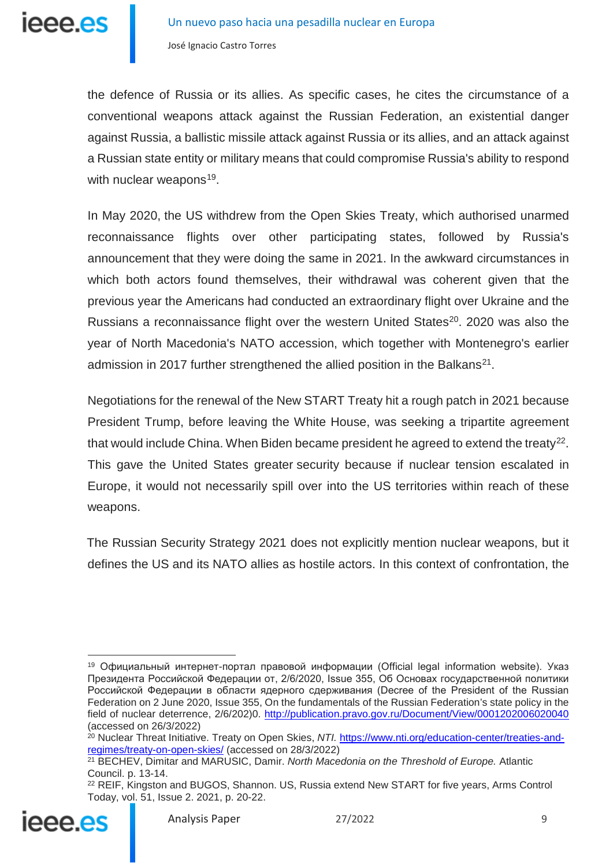

the defence of Russia or its allies. As specific cases, he cites the circumstance of a conventional weapons attack against the Russian Federation, an existential danger against Russia, a ballistic missile attack against Russia or its allies, and an attack against a Russian state entity or military means that could compromise Russia's ability to respond with nuclear weapons<sup>19</sup>.

In May 2020, the US withdrew from the Open Skies Treaty, which authorised unarmed reconnaissance flights over other participating states, followed by Russia's announcement that they were doing the same in 2021. In the awkward circumstances in which both actors found themselves, their withdrawal was coherent given that the previous year the Americans had conducted an extraordinary flight over Ukraine and the Russians a reconnaissance flight over the western United States<sup>[20](#page-8-1)</sup>. 2020 was also the year of North Macedonia's NATO accession, which together with Montenegro's earlier admission in 2017 further strengthened the allied position in the Balkans<sup>21</sup>.

Negotiations for the renewal of the New START Treaty hit a rough patch in 2021 because President Trump, before leaving the White House, was seeking a tripartite agreement that would include China. When Biden became president he agreed to extend the treaty<sup>[22](#page-8-3)</sup>. This gave the United States greater security because if nuclear tension escalated in Europe, it would not necessarily spill over into the US territories within reach of these weapons.

The Russian Security Strategy 2021 does not explicitly mention nuclear weapons, but it defines the US and its NATO allies as hostile actors. In this context of confrontation, the

<span id="page-8-3"></span><span id="page-8-2"></span><span id="page-8-1"></span><sup>&</sup>lt;sup>22</sup> REIF, Kingston and BUGOS, Shannon. US, Russia extend New START for five years, Arms Control Today, vol. 51, Issue 2. 2021, p. 20-22.



<span id="page-8-0"></span><sup>-</sup><sup>19</sup> Официальный интернет-портал правовой информации (Official legal information website). Указ Президента Российской Федерации от, 2/6/2020, Issue 355, Об Основах государственной политики Российской Федерации в области ядерного сдерживания (Decree of the President of the Russian Federation on 2 June 2020, Issue 355, On the fundamentals of the Russian Federation's state policy in the field of nuclear deterrence, 2/6/202)0.<http://publication.pravo.gov.ru/Document/View/0001202006020040> (accessed on 26/3/2022)

<sup>&</sup>lt;sup>20</sup> Nuclear Threat Initiative. Treaty on Open Skies, *NTI.* [https://www.nti.org/education-center/treaties-and](https://www.nti.org/education-center/treaties-and-regimes/treaty-on-open-skies/)[regimes/treaty-on-open-skies/](https://www.nti.org/education-center/treaties-and-regimes/treaty-on-open-skies/) (accessed on 28/3/2022)

<sup>21</sup> BECHEV, Dimitar and MARUSIC, Damir. *North Macedonia on the Threshold of Europe.* Atlantic Council. p. 13-14.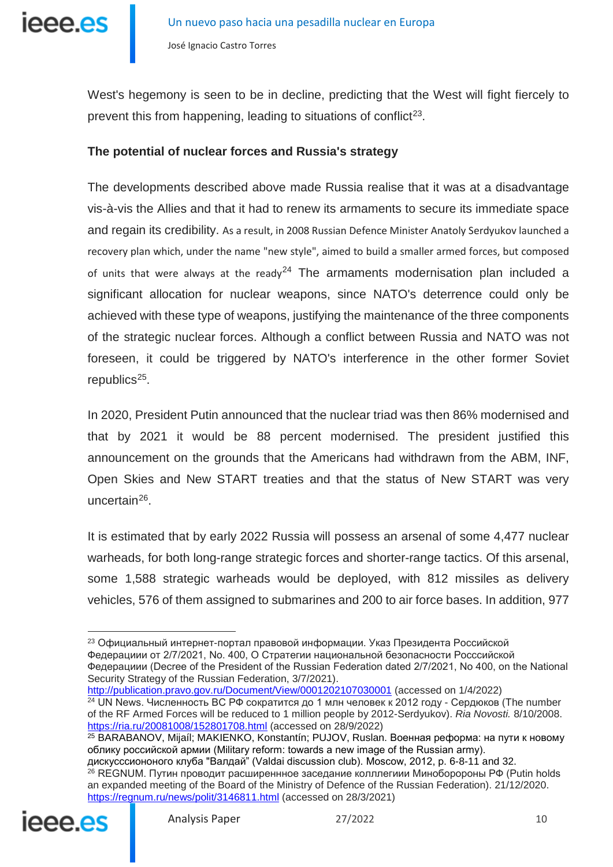

West's hegemony is seen to be in decline, predicting that the West will fight fiercely to prevent this from happening, leading to situations of conflict<sup>[23](#page-9-0)</sup>.

### **The potential of nuclear forces and Russia's strategy**

The developments described above made Russia realise that it was at a disadvantage vis-à-vis the Allies and that it had to renew its armaments to secure its immediate space and regain its credibility. As a result, in 2008 Russian Defence Minister Anatoly Serdyukov launched a recovery plan which, under the name "new style", aimed to build a smaller armed forces, but composed of units that were always at the ready<sup>[24](#page-9-1)</sup> The armaments modernisation plan included a significant allocation for nuclear weapons, since NATO's deterrence could only be achieved with these type of weapons, justifying the maintenance of the three components of the strategic nuclear forces. Although a conflict between Russia and NATO was not foreseen, it could be triggered by NATO's interference in the other former Soviet  $repubits<sup>25</sup>$  $repubits<sup>25</sup>$  $repubits<sup>25</sup>$ .

In 2020, President Putin announced that the nuclear triad was then 86% modernised and that by 2021 it would be 88 percent modernised. The president justified this announcement on the grounds that the Americans had withdrawn from the ABM, INF, Open Skies and New START treaties and that the status of New START was very uncertain<sup>26</sup>.

It is estimated that by early 2022 Russia will possess an arsenal of some 4,477 nuclear warheads, for both long-range strategic forces and shorter-range tactics. Of this arsenal, some 1,588 strategic warheads would be deployed, with 812 missiles as delivery vehicles, 576 of them assigned to submarines and 200 to air force bases. In addition, 977

<span id="page-9-1"></span><http://publication.pravo.gov.ru/Document/View/0001202107030001> (accessed on 1/4/2022)  $24$  UN News. Численность ВС РФ сократится до 1 млн человек к 2012 году - Сердюков (The number of the RF Armed Forces will be reduced to 1 million people by 2012-Serdyukov). *Ria Novosti.* 8/10/2008. <https://ria.ru/20081008/152801708.html> (accessed on 28/9/2022)

<sup>25</sup> BARABANOV, Mijaíl; MAKIENKO, Konstantín; PUJOV, Ruslan. Военная реформа: на пути к новому облику российской армии (Military reform: towards a new image of the Russian army). дискусссиононого клуба "Валдай" (Valdai discussion club). Moscow, 2012, p. 6-8-11 and 32.

<sup>26</sup> REGNUM. Путин проводит расширеннное заседание колллегиии Миноборороны РФ (Putin holds an expanded meeting of the Board of the Ministry of Defence of the Russian Federation). 21/12/2020. <https://regnum.ru/news/polit/3146811.html> (accessed on 28/3/2021)

<span id="page-9-3"></span><span id="page-9-2"></span>

-

<span id="page-9-0"></span><sup>23</sup> Официальный интернет-портал правовой информации. Указ Президента Российской Федерациии от 2/7/2021, No. 400, О Стратегии национальной безопасности Росссийской Федерациии (Decree of the President of the Russian Federation dated 2/7/2021, No 400, on the National Security Strategy of the Russian Federation, 3/7/2021).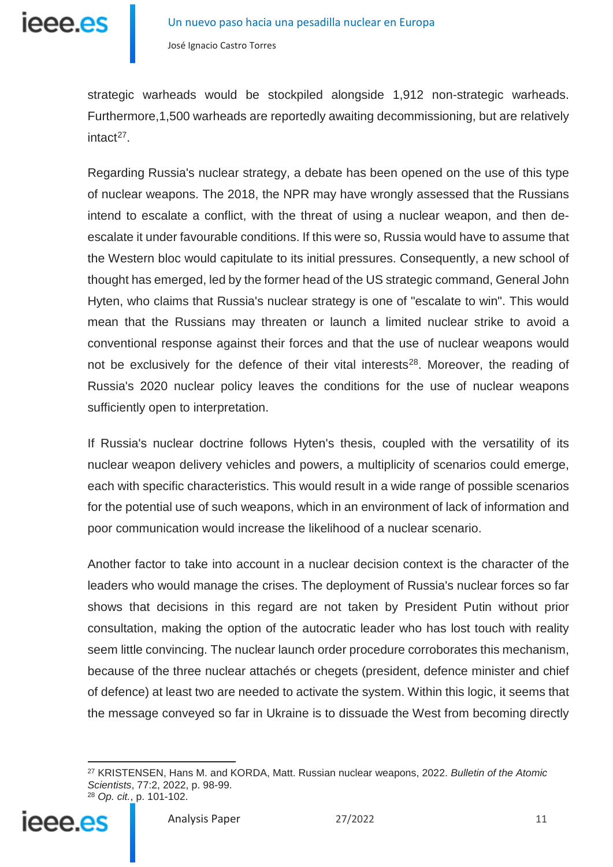strategic warheads would be stockpiled alongside 1,912 non-strategic warheads. Furthermore,1,500 warheads are reportedly awaiting decommissioning, but are relatively intact<sup>[27](#page-10-0)</sup>.

Regarding Russia's nuclear strategy, a debate has been opened on the use of this type of nuclear weapons. The 2018, the NPR may have wrongly assessed that the Russians intend to escalate a conflict, with the threat of using a nuclear weapon, and then deescalate it under favourable conditions. If this were so, Russia would have to assume that the Western bloc would capitulate to its initial pressures. Consequently, a new school of thought has emerged, led by the former head of the US strategic command, General John Hyten, who claims that Russia's nuclear strategy is one of "escalate to win". This would mean that the Russians may threaten or launch a limited nuclear strike to avoid a conventional response against their forces and that the use of nuclear weapons would not be exclusively for the defence of their vital interests<sup>[28](#page-10-1)</sup>. Moreover, the reading of Russia's 2020 nuclear policy leaves the conditions for the use of nuclear weapons sufficiently open to interpretation.

If Russia's nuclear doctrine follows Hyten's thesis, coupled with the versatility of its nuclear weapon delivery vehicles and powers, a multiplicity of scenarios could emerge, each with specific characteristics. This would result in a wide range of possible scenarios for the potential use of such weapons, which in an environment of lack of information and poor communication would increase the likelihood of a nuclear scenario.

Another factor to take into account in a nuclear decision context is the character of the leaders who would manage the crises. The deployment of Russia's nuclear forces so far shows that decisions in this regard are not taken by President Putin without prior consultation, making the option of the autocratic leader who has lost touch with reality seem little convincing. The nuclear launch order procedure corroborates this mechanism, because of the three nuclear attachés or chegets (president, defence minister and chief of defence) at least two are needed to activate the system. Within this logic, it seems that the message conveyed so far in Ukraine is to dissuade the West from becoming directly

<span id="page-10-1"></span><span id="page-10-0"></span><sup>-</sup><sup>27</sup> KRISTENSEN, Hans M. and KORDA, Matt. Russian nuclear weapons, 2022. *Bulletin of the Atomic Scientists*, 77:2, 2022, p. 98-99. <sup>28</sup> *Op. cit.*, p. 101-102.

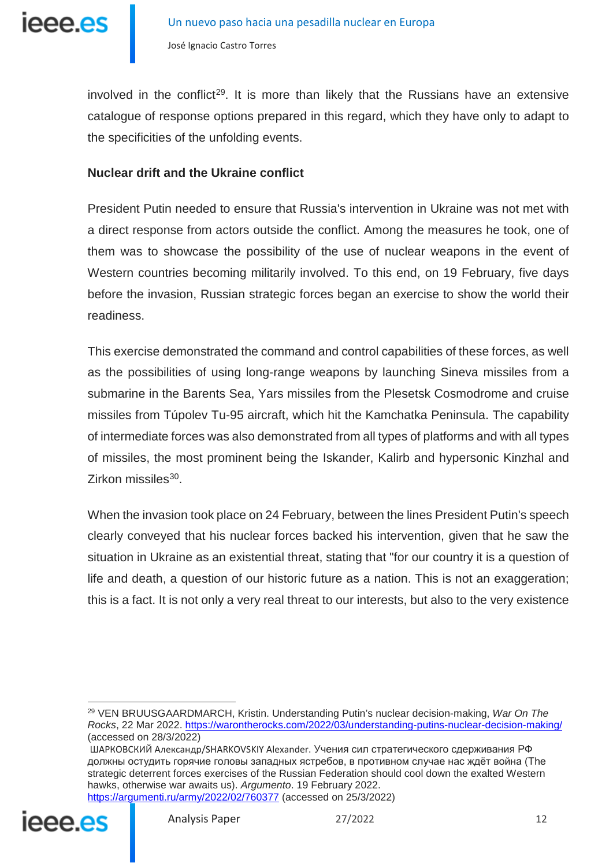

involved in the conflict<sup>29</sup>. It is more than likely that the Russians have an extensive catalogue of response options prepared in this regard, which they have only to adapt to the specificities of the unfolding events.

### **Nuclear drift and the Ukraine conflict**

President Putin needed to ensure that Russia's intervention in Ukraine was not met with a direct response from actors outside the conflict. Among the measures he took, one of them was to showcase the possibility of the use of nuclear weapons in the event of Western countries becoming militarily involved. To this end, on 19 February, five days before the invasion, Russian strategic forces began an exercise to show the world their readiness.

This exercise demonstrated the command and control capabilities of these forces, as well as the possibilities of using long-range weapons by launching Sineva missiles from a submarine in the Barents Sea, Yars missiles from the Plesetsk Cosmodrome and cruise missiles from Túpolev Tu-95 aircraft, which hit the Kamchatka Peninsula. The capability of intermediate forces was also demonstrated from all types of platforms and with all types of missiles, the most prominent being the Iskander, Kalirb and hypersonic Kinzhal and Zirkon missiles $30$ .

When the invasion took place on 24 February, between the lines President Putin's speech clearly conveyed that his nuclear forces backed his intervention, given that he saw the situation in Ukraine as an existential threat, stating that "for our country it is a question of life and death, a question of our historic future as a nation. This is not an exaggeration; this is a fact. It is not only a very real threat to our interests, but also to the very existence

<span id="page-11-1"></span><span id="page-11-0"></span>ШАРКОВСКИЙ Александр/SHARKOVSKIY Alexander. Учения сил стратегического сдерживания РФ должны остудить горячие головы западных ястребов, в противном случае нас ждёт война (The strategic deterrent forces exercises of the Russian Federation should cool down the exalted Western hawks, otherwise war awaits us). *Argumento*. 19 February 2022. <https://argumenti.ru/army/2022/02/760377> (accessed on 25/3/2022)



<sup>-</sup><sup>29</sup> VEN BRUUSGAARDMARCH, Kristin. Understanding Putin's nuclear decision-making, *War On The Rocks*, 22 Mar 2022.<https://warontherocks.com/2022/03/understanding-putins-nuclear-decision-making/> (accessed on 28/3/2022)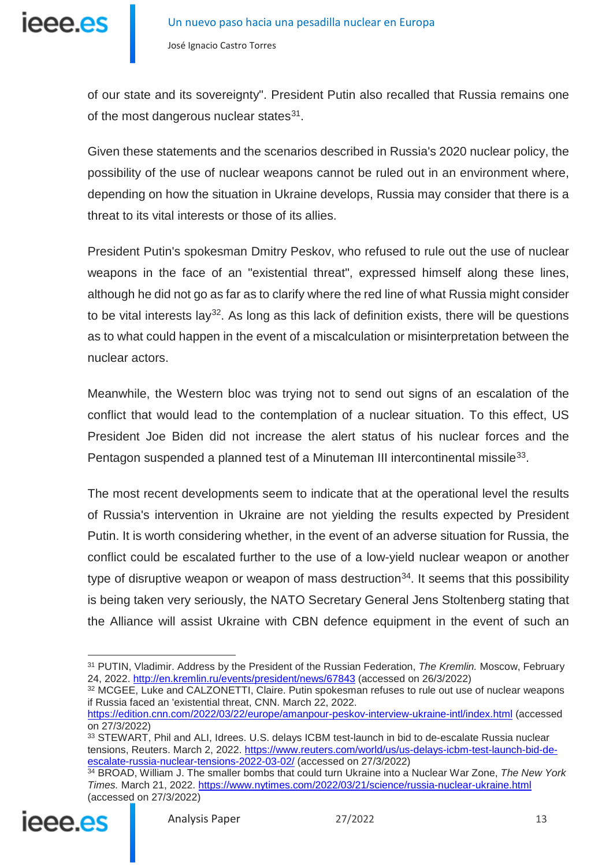of our state and its sovereignty". President Putin also recalled that Russia remains one of the most dangerous nuclear states  $31$ .

Given these statements and the scenarios described in Russia's 2020 nuclear policy, the possibility of the use of nuclear weapons cannot be ruled out in an environment where, depending on how the situation in Ukraine develops, Russia may consider that there is a threat to its vital interests or those of its allies.

President Putin's spokesman Dmitry Peskov, who refused to rule out the use of nuclear weapons in the face of an "existential threat", expressed himself along these lines, although he did not go as far as to clarify where the red line of what Russia might consider to be vital interests lay<sup>32</sup>. As long as this lack of definition exists, there will be questions as to what could happen in the event of a miscalculation or misinterpretation between the nuclear actors.

Meanwhile, the Western bloc was trying not to send out signs of an escalation of the conflict that would lead to the contemplation of a nuclear situation. To this effect, US President Joe Biden did not increase the alert status of his nuclear forces and the Pentagon suspended a planned test of a Minuteman III intercontinental missile<sup>33</sup>.

The most recent developments seem to indicate that at the operational level the results of Russia's intervention in Ukraine are not yielding the results expected by President Putin. It is worth considering whether, in the event of an adverse situation for Russia, the conflict could be escalated further to the use of a low-yield nuclear weapon or another type of disruptive weapon or weapon of mass destruction<sup>[34](#page-12-3)</sup>. It seems that this possibility is being taken very seriously, the NATO Secretary General Jens Stoltenberg stating that the Alliance will assist Ukraine with CBN defence equipment in the event of such an

<span id="page-12-3"></span><span id="page-12-2"></span><span id="page-12-1"></span><sup>34</sup> BROAD, William J. The smaller bombs that could turn Ukraine into a Nuclear War Zone, *The New York Times.* March 21, 2022.<https://www.nytimes.com/2022/03/21/science/russia-nuclear-ukraine.html> (accessed on 27/3/2022)



<span id="page-12-0"></span><sup>-</sup><sup>31</sup> PUTIN, Vladimir. Address by the President of the Russian Federation, *The Kremlin.* Moscow, February 24, 2022.<http://en.kremlin.ru/events/president/news/67843> (accessed on 26/3/2022)

<sup>32</sup> MCGEE, Luke and CALZONETTI, Claire. Putin spokesman refuses to rule out use of nuclear weapons if Russia faced an 'existential threat, CNN. March 22, 2022.

<https://edition.cnn.com/2022/03/22/europe/amanpour-peskov-interview-ukraine-intl/index.html> (accessed on 27/3/2022)

<sup>33</sup> STEWART, Phil and ALI, Idrees. U.S. delays ICBM test-launch in bid to de-escalate Russia nuclear tensions, Reuters. March 2, 2022. [https://www.reuters.com/world/us/us-delays-icbm-test-launch-bid-de](https://www.reuters.com/world/us/us-delays-icbm-test-launch-bid-de-escalate-russia-nuclear-tensions-2022-03-02/)[escalate-russia-nuclear-tensions-2022-03-02/](https://www.reuters.com/world/us/us-delays-icbm-test-launch-bid-de-escalate-russia-nuclear-tensions-2022-03-02/) (accessed on 27/3/2022)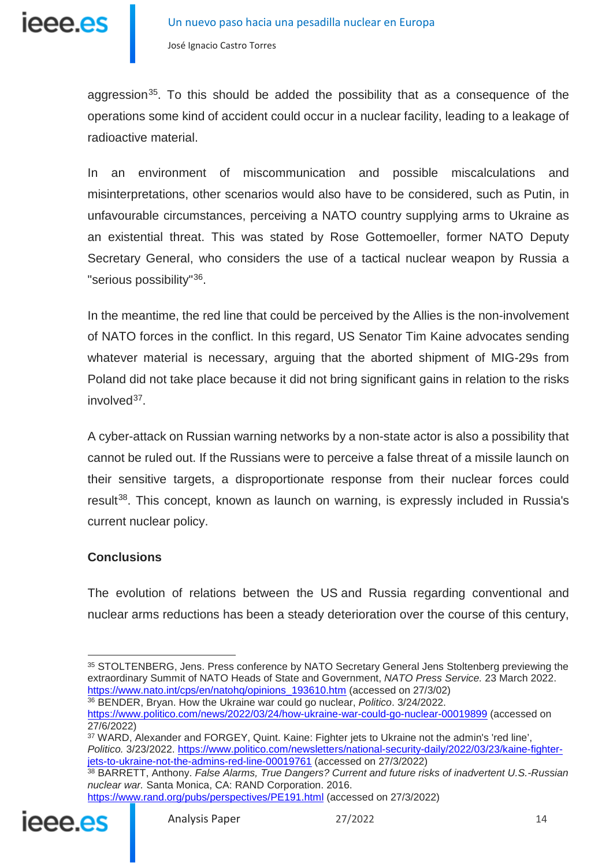

aggression<sup>[35](#page-13-0)</sup>. To this should be added the possibility that as a consequence of the operations some kind of accident could occur in a nuclear facility, leading to a leakage of radioactive material.

In an environment of miscommunication and possible miscalculations and misinterpretations, other scenarios would also have to be considered, such as Putin, in unfavourable circumstances, perceiving a NATO country supplying arms to Ukraine as an existential threat. This was stated by Rose Gottemoeller, former NATO Deputy Secretary General, who considers the use of a tactical nuclear weapon by Russia a "serious possibility"[36](#page-13-1).

In the meantime, the red line that could be perceived by the Allies is the non-involvement of NATO forces in the conflict. In this regard, US Senator Tim Kaine advocates sending whatever material is necessary, arguing that the aborted shipment of MIG-29s from Poland did not take place because it did not bring significant gains in relation to the risks  $involved^{37}$  $involved^{37}$  $involved^{37}$ .

A cyber-attack on Russian warning networks by a non-state actor is also a possibility that cannot be ruled out. If the Russians were to perceive a false threat of a missile launch on their sensitive targets, a disproportionate response from their nuclear forces could result<sup>38</sup>. This concept, known as launch on warning, is expressly included in Russia's current nuclear policy.

### **Conclusions**

The evolution of relations between the US and Russia regarding conventional and nuclear arms reductions has been a steady deterioration over the course of this century,

<span id="page-13-1"></span><sup>36</sup> BENDER, Bryan. How the Ukraine war could go nuclear, *Politico*. 3/24/2022. <https://www.politico.com/news/2022/03/24/how-ukraine-war-could-go-nuclear-00019899> (accessed on 27/6/2022)

<sup>38</sup> BARRETT, Anthony. *False Alarms, True Dangers? Current and future risks of inadvertent U.S.-Russian nuclear war.* Santa Monica, CA: RAND Corporation. 2016.

<https://www.rand.org/pubs/perspectives/PE191.html> (accessed on 27/3/2022)

<span id="page-13-3"></span><span id="page-13-2"></span>

<span id="page-13-0"></span><sup>-</sup><sup>35</sup> STOLTENBERG, Jens. Press conference by NATO Secretary General Jens Stoltenberg previewing the extraordinary Summit of NATO Heads of State and Government, *NATO Press Service.* 23 March 2022. [https://www.nato.int/cps/en/natohq/opinions\\_193610.htm](https://www.nato.int/cps/en/natohq/opinions_193610.htm) (accessed on 27/3/02)

<sup>37</sup> WARD, Alexander and FORGEY, Quint. Kaine: Fighter jets to Ukraine not the admin's 'red line', *Politico.* 3/23/2022. [https://www.politico.com/newsletters/national-security-daily/2022/03/23/kaine-fighter](https://www.politico.com/newsletters/national-security-daily/2022/03/23/kaine-fighter-jets-to-ukraine-not-the-admins-red-line-00019761)[jets-to-ukraine-not-the-admins-red-line-00019761](https://www.politico.com/newsletters/national-security-daily/2022/03/23/kaine-fighter-jets-to-ukraine-not-the-admins-red-line-00019761) (accessed on 27/3/2022)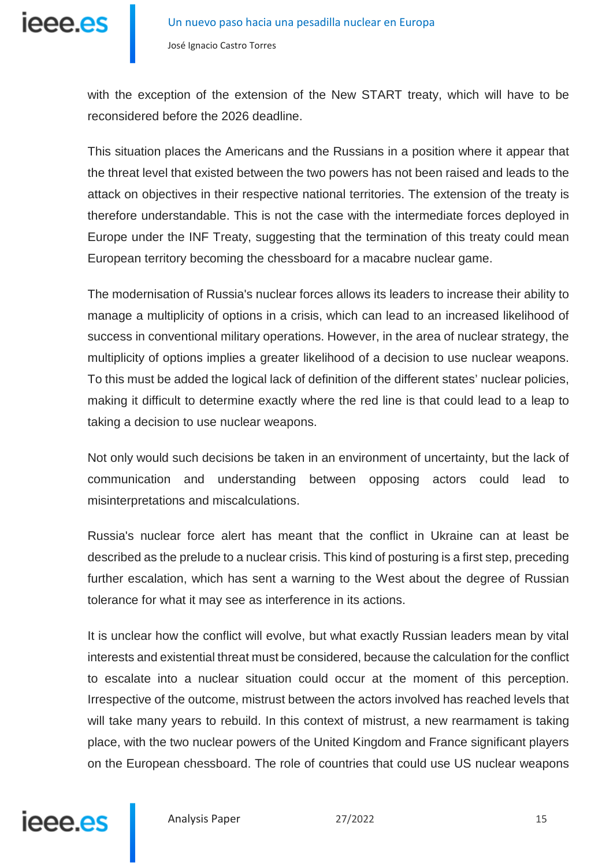

with the exception of the extension of the New START treaty, which will have to be reconsidered before the 2026 deadline.

This situation places the Americans and the Russians in a position where it appear that the threat level that existed between the two powers has not been raised and leads to the attack on objectives in their respective national territories. The extension of the treaty is therefore understandable. This is not the case with the intermediate forces deployed in Europe under the INF Treaty, suggesting that the termination of this treaty could mean European territory becoming the chessboard for a macabre nuclear game.

The modernisation of Russia's nuclear forces allows its leaders to increase their ability to manage a multiplicity of options in a crisis, which can lead to an increased likelihood of success in conventional military operations. However, in the area of nuclear strategy, the multiplicity of options implies a greater likelihood of a decision to use nuclear weapons. To this must be added the logical lack of definition of the different states' nuclear policies, making it difficult to determine exactly where the red line is that could lead to a leap to taking a decision to use nuclear weapons.

Not only would such decisions be taken in an environment of uncertainty, but the lack of communication and understanding between opposing actors could lead to misinterpretations and miscalculations.

Russia's nuclear force alert has meant that the conflict in Ukraine can at least be described as the prelude to a nuclear crisis. This kind of posturing is a first step, preceding further escalation, which has sent a warning to the West about the degree of Russian tolerance for what it may see as interference in its actions.

It is unclear how the conflict will evolve, but what exactly Russian leaders mean by vital interests and existential threat must be considered, because the calculation for the conflict to escalate into a nuclear situation could occur at the moment of this perception. Irrespective of the outcome, mistrust between the actors involved has reached levels that will take many years to rebuild. In this context of mistrust, a new rearmament is taking place, with the two nuclear powers of the United Kingdom and France significant players on the European chessboard. The role of countries that could use US nuclear weapons